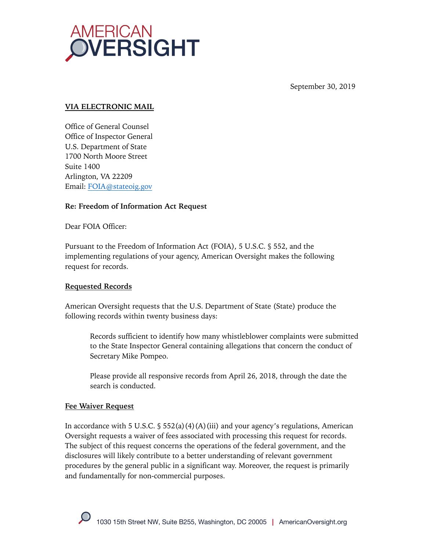

September 30, 2019

## **VIA ELECTRONIC MAIL**

Office of General Counsel Office of Inspector General U.S. Department of State 1700 North Moore Street Suite 1400 Arlington, VA 22209 Email: FOIA@stateoig.gov

## **Re: Freedom of Information Act Request**

Dear FOIA Officer:

Pursuant to the Freedom of Information Act (FOIA), 5 U.S.C. § 552, and the implementing regulations of your agency, American Oversight makes the following request for records.

## **Requested Records**

American Oversight requests that the U.S. Department of State (State) produce the following records within twenty business days:

Records sufficient to identify how many whistleblower complaints were submitted to the State Inspector General containing allegations that concern the conduct of Secretary Mike Pompeo.

Please provide all responsive records from April 26, 2018, through the date the search is conducted.

## **Fee Waiver Request**

In accordance with 5 U.S.C.  $\S$  552(a)(4)(A)(iii) and your agency's regulations, American Oversight requests a waiver of fees associated with processing this request for records. The subject of this request concerns the operations of the federal government, and the disclosures will likely contribute to a better understanding of relevant government procedures by the general public in a significant way. Moreover, the request is primarily and fundamentally for non-commercial purposes.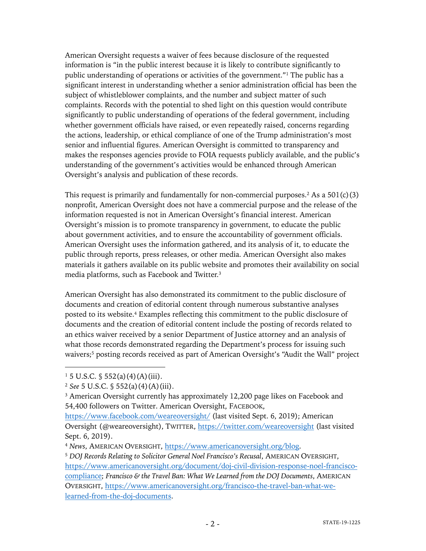American Oversight requests a waiver of fees because disclosure of the requested information is "in the public interest because it is likely to contribute significantly to public understanding of operations or activities of the government."<sup>1</sup> The public has a significant interest in understanding whether a senior administration official has been the subject of whistleblower complaints, and the number and subject matter of such complaints. Records with the potential to shed light on this question would contribute significantly to public understanding of operations of the federal government, including whether government officials have raised, or even repeatedly raised, concerns regarding the actions, leadership, or ethical compliance of one of the Trump administration's most senior and influential figures. American Oversight is committed to transparency and makes the responses agencies provide to FOIA requests publicly available, and the public's understanding of the government's activities would be enhanced through American Oversight's analysis and publication of these records.

This request is primarily and fundamentally for non-commercial purposes.<sup>2</sup> As a  $501(c)(3)$ nonprofit, American Oversight does not have a commercial purpose and the release of the information requested is not in American Oversight's financial interest. American Oversight's mission is to promote transparency in government, to educate the public about government activities, and to ensure the accountability of government officials. American Oversight uses the information gathered, and its analysis of it, to educate the public through reports, press releases, or other media. American Oversight also makes materials it gathers available on its public website and promotes their availability on social media platforms, such as Facebook and Twitter.3

American Oversight has also demonstrated its commitment to the public disclosure of documents and creation of editorial content through numerous substantive analyses posted to its website. <sup>4</sup> Examples reflecting this commitment to the public disclosure of documents and the creation of editorial content include the posting of records related to an ethics waiver received by a senior Department of Justice attorney and an analysis of what those records demonstrated regarding the Department's process for issuing such waivers;<sup>5</sup> posting records received as part of American Oversight's "Audit the Wall" project

 $1\,5$  U.S.C.  $\frac{6}{3}$  552(a)(4)(A)(iii).

<sup>2</sup> *See* 5 U.S.C. § 552(a)(4)(A)(iii).

<sup>&</sup>lt;sup>3</sup> American Oversight currently has approximately 12,200 page likes on Facebook and 54,400 followers on Twitter. American Oversight, FACEBOOK,

https://www.facebook.com/weareoversight/ (last visited Sept. 6, 2019); American Oversight (@weareoversight), TWITTER, https://twitter.com/weareoversight (last visited Sept. 6, 2019).

<sup>4</sup> *News*, AMERICAN OVERSIGHT, https://www.americanoversight.org/blog.

<sup>5</sup> *DOJ Records Relating to Solicitor General Noel Francisco's Recusal*, AMERICAN OVERSIGHT, https://www.americanoversight.org/document/doj-civil-division-response-noel-franciscocompliance; *Francisco & the Travel Ban: What We Learned from the DOJ Documents*, AMERICAN OVERSIGHT, https://www.americanoversight.org/francisco-the-travel-ban-what-welearned-from-the-doj-documents.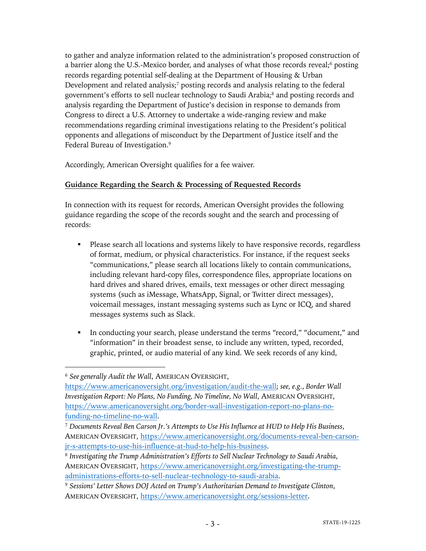to gather and analyze information related to the administration's proposed construction of a barrier along the U.S.-Mexico border, and analyses of what those records reveal;<sup>6</sup> posting records regarding potential self-dealing at the Department of Housing & Urban Development and related analysis; $\frac{7}{2}$  posting records and analysis relating to the federal government's efforts to sell nuclear technology to Saudi Arabia;8 and posting records and analysis regarding the Department of Justice's decision in response to demands from Congress to direct a U.S. Attorney to undertake a wide-ranging review and make recommendations regarding criminal investigations relating to the President's political opponents and allegations of misconduct by the Department of Justice itself and the Federal Bureau of Investigation.<sup>9</sup>

Accordingly, American Oversight qualifies for a fee waiver.

# **Guidance Regarding the Search & Processing of Requested Records**

In connection with its request for records, American Oversight provides the following guidance regarding the scope of the records sought and the search and processing of records:

- Please search all locations and systems likely to have responsive records, regardless of format, medium, or physical characteristics. For instance, if the request seeks "communications," please search all locations likely to contain communications, including relevant hard-copy files, correspondence files, appropriate locations on hard drives and shared drives, emails, text messages or other direct messaging systems (such as iMessage, WhatsApp, Signal, or Twitter direct messages), voicemail messages, instant messaging systems such as Lync or ICQ, and shared messages systems such as Slack.
- § In conducting your search, please understand the terms "record," "document," and "information" in their broadest sense, to include any written, typed, recorded, graphic, printed, or audio material of any kind. We seek records of any kind,

<sup>6</sup> *See generally Audit the Wall*, AMERICAN OVERSIGHT,

https://www.americanoversight.org/investigation/audit-the-wall; *see, e.g.*, *Border Wall Investigation Report: No Plans, No Funding, No Timeline, No Wall*, AMERICAN OVERSIGHT, https://www.americanoversight.org/border-wall-investigation-report-no-plans-nofunding-no-timeline-no-wall.

<sup>7</sup> *Documents Reveal Ben Carson Jr.'s Attempts to Use His Influence at HUD to Help His Business*, AMERICAN OVERSIGHT, https://www.americanoversight.org/documents-reveal-ben-carsonjr-s-attempts-to-use-his-influence-at-hud-to-help-his-business.

<sup>8</sup> *Investigating the Trump Administration's Efforts to Sell Nuclear Technology to Saudi Arabia*, AMERICAN OVERSIGHT, https://www.americanoversight.org/investigating-the-trumpadministrations-efforts-to-sell-nuclear-technology-to-saudi-arabia.

<sup>9</sup> *Sessions' Letter Shows DOJ Acted on Trump's Authoritarian Demand to Investigate Clinton*, AMERICAN OVERSIGHT, https://www.americanoversight.org/sessions-letter.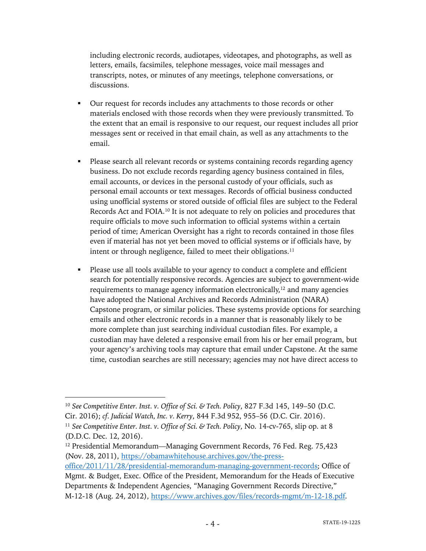including electronic records, audiotapes, videotapes, and photographs, as well as letters, emails, facsimiles, telephone messages, voice mail messages and transcripts, notes, or minutes of any meetings, telephone conversations, or discussions.

- Our request for records includes any attachments to those records or other materials enclosed with those records when they were previously transmitted. To the extent that an email is responsive to our request, our request includes all prior messages sent or received in that email chain, as well as any attachments to the email.
- § Please search all relevant records or systems containing records regarding agency business. Do not exclude records regarding agency business contained in files, email accounts, or devices in the personal custody of your officials, such as personal email accounts or text messages. Records of official business conducted using unofficial systems or stored outside of official files are subject to the Federal Records Act and FOIA.10 It is not adequate to rely on policies and procedures that require officials to move such information to official systems within a certain period of time; American Oversight has a right to records contained in those files even if material has not yet been moved to official systems or if officials have, by intent or through negligence, failed to meet their obligations.<sup>11</sup>
- Please use all tools available to your agency to conduct a complete and efficient search for potentially responsive records. Agencies are subject to government-wide requirements to manage agency information electronically,<sup>12</sup> and many agencies have adopted the National Archives and Records Administration (NARA) Capstone program, or similar policies. These systems provide options for searching emails and other electronic records in a manner that is reasonably likely to be more complete than just searching individual custodian files. For example, a custodian may have deleted a responsive email from his or her email program, but your agency's archiving tools may capture that email under Capstone. At the same time, custodian searches are still necessary; agencies may not have direct access to

<sup>10</sup> *See Competitive Enter. Inst. v. Office of Sci. & Tech. Policy*, 827 F.3d 145, 149–50 (D.C. Cir. 2016); *cf. Judicial Watch, Inc. v. Kerry*, 844 F.3d 952, 955–56 (D.C. Cir. 2016).

<sup>11</sup> *See Competitive Enter. Inst. v. Office of Sci. & Tech. Policy*, No. 14-cv-765, slip op. at 8 (D.D.C. Dec. 12, 2016).

<sup>&</sup>lt;sup>12</sup> Presidential Memorandum—Managing Government Records, 76 Fed. Reg. 75,423 (Nov. 28, 2011), https://obamawhitehouse.archives.gov/the-press-

office/2011/11/28/presidential-memorandum-managing-government-records; Office of Mgmt. & Budget, Exec. Office of the President, Memorandum for the Heads of Executive Departments & Independent Agencies, "Managing Government Records Directive," M-12-18 (Aug. 24, 2012), https://www.archives.gov/files/records-mgmt/m-12-18.pdf.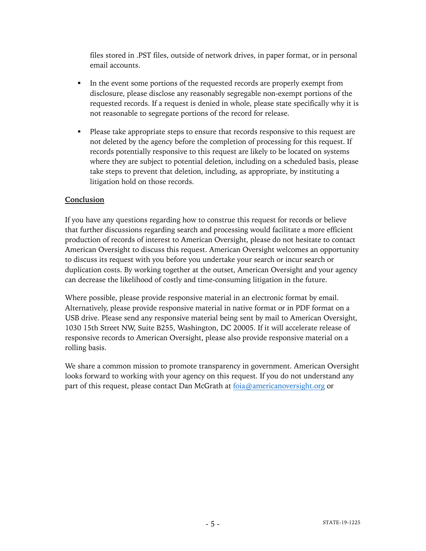files stored in .PST files, outside of network drives, in paper format, or in personal email accounts.

- In the event some portions of the requested records are properly exempt from disclosure, please disclose any reasonably segregable non-exempt portions of the requested records. If a request is denied in whole, please state specifically why it is not reasonable to segregate portions of the record for release.
- Please take appropriate steps to ensure that records responsive to this request are not deleted by the agency before the completion of processing for this request. If records potentially responsive to this request are likely to be located on systems where they are subject to potential deletion, including on a scheduled basis, please take steps to prevent that deletion, including, as appropriate, by instituting a litigation hold on those records.

## **Conclusion**

If you have any questions regarding how to construe this request for records or believe that further discussions regarding search and processing would facilitate a more efficient production of records of interest to American Oversight, please do not hesitate to contact American Oversight to discuss this request. American Oversight welcomes an opportunity to discuss its request with you before you undertake your search or incur search or duplication costs. By working together at the outset, American Oversight and your agency can decrease the likelihood of costly and time-consuming litigation in the future.

Where possible, please provide responsive material in an electronic format by email. Alternatively, please provide responsive material in native format or in PDF format on a USB drive. Please send any responsive material being sent by mail to American Oversight, 1030 15th Street NW, Suite B255, Washington, DC 20005. If it will accelerate release of responsive records to American Oversight, please also provide responsive material on a rolling basis.

We share a common mission to promote transparency in government. American Oversight looks forward to working with your agency on this request. If you do not understand any part of this request, please contact Dan McGrath at foia@americanoversight.org or